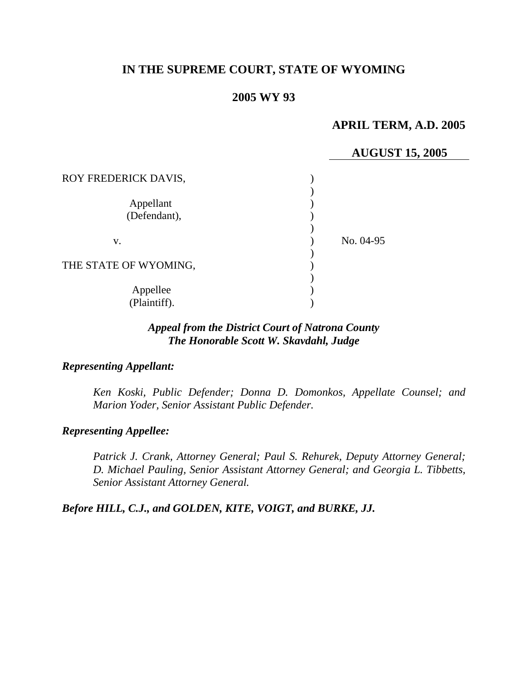# **IN THE SUPREME COURT, STATE OF WYOMING**

### **2005 WY 93**

## **APRIL TERM, A.D. 2005**

# **AUGUST 15, 2005**

| ROY FREDERICK DAVIS,      |           |
|---------------------------|-----------|
| Appellant<br>(Defendant), |           |
| V.                        | No. 04-95 |
| THE STATE OF WYOMING,     |           |
| Appellee<br>(Plaintiff).  |           |

# *Appeal from the District Court of Natrona County The Honorable Scott W. Skavdahl, Judge*

#### *Representing Appellant:*

*Ken Koski, Public Defender; Donna D. Domonkos, Appellate Counsel; and Marion Yoder, Senior Assistant Public Defender.* 

#### *Representing Appellee:*

*Patrick J. Crank, Attorney General; Paul S. Rehurek, Deputy Attorney General; D. Michael Pauling, Senior Assistant Attorney General; and Georgia L. Tibbetts, Senior Assistant Attorney General.* 

*Before HILL, C.J., and GOLDEN, KITE, VOIGT, and BURKE, JJ.*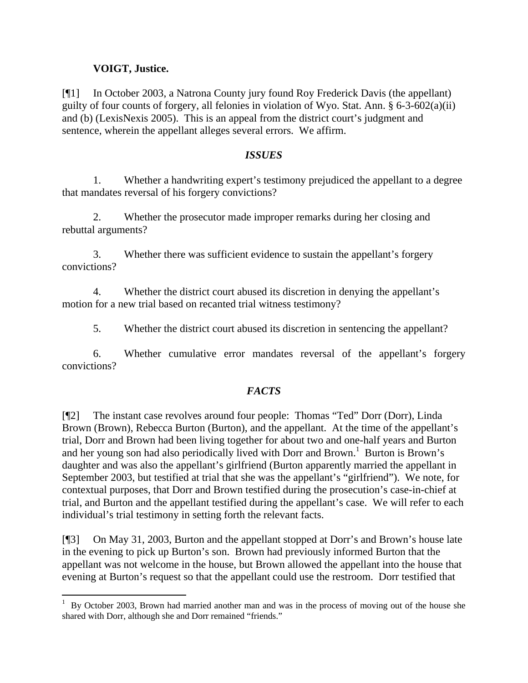### **VOIGT, Justice.**

 $\overline{a}$ 

[¶1] In October 2003, a Natrona County jury found Roy Frederick Davis (the appellant) guilty of four counts of forgery, all felonies in violation of Wyo. Stat. Ann. § 6-3-602(a)(ii) and (b) (LexisNexis 2005). This is an appeal from the district court's judgment and sentence, wherein the appellant alleges several errors. We affirm.

### *ISSUES*

1. Whether a handwriting expert's testimony prejudiced the appellant to a degree that mandates reversal of his forgery convictions?

2. Whether the prosecutor made improper remarks during her closing and rebuttal arguments?

3. Whether there was sufficient evidence to sustain the appellant's forgery convictions?

4. Whether the district court abused its discretion in denying the appellant's motion for a new trial based on recanted trial witness testimony?

5. Whether the district court abused its discretion in sentencing the appellant?

6. Whether cumulative error mandates reversal of the appellant's forgery convictions?

# *FACTS*

[¶2] The instant case revolves around four people: Thomas "Ted" Dorr (Dorr), Linda Brown (Brown), Rebecca Burton (Burton), and the appellant. At the time of the appellant's trial, Dorr and Brown had been living together for about two and one-half years and Burton and her young son had also periodically lived with Dorr and Brown.<sup>[1](#page-1-0)</sup> Burton is Brown's daughter and was also the appellant's girlfriend (Burton apparently married the appellant in September 2003, but testified at trial that she was the appellant's "girlfriend"). We note, for contextual purposes, that Dorr and Brown testified during the prosecution's case-in-chief at trial, and Burton and the appellant testified during the appellant's case. We will refer to each individual's trial testimony in setting forth the relevant facts.

[¶3] On May 31, 2003, Burton and the appellant stopped at Dorr's and Brown's house late in the evening to pick up Burton's son. Brown had previously informed Burton that the appellant was not welcome in the house, but Brown allowed the appellant into the house that evening at Burton's request so that the appellant could use the restroom. Dorr testified that

<span id="page-1-0"></span><sup>1</sup> By October 2003, Brown had married another man and was in the process of moving out of the house she shared with Dorr, although she and Dorr remained "friends."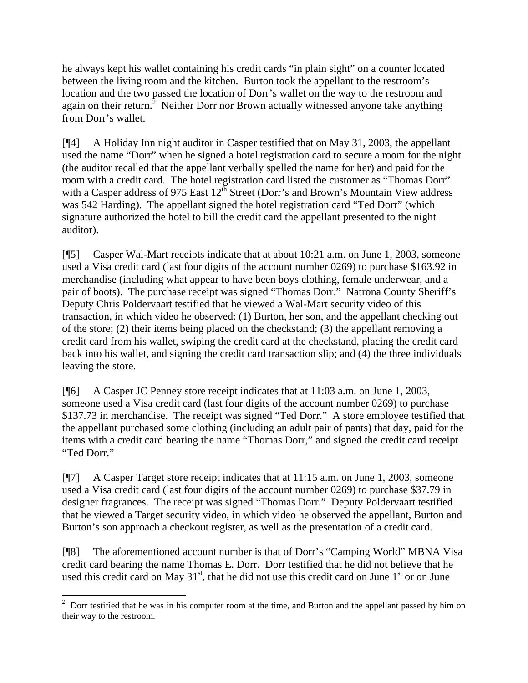he always kept his wallet containing his credit cards "in plain sight" on a counter located between the living room and the kitchen. Burton took the appellant to the restroom's location and the two passed the location of Dorr's wallet on the way to the restroom and again on their return.<sup>[2](#page-2-0)</sup> Neither Dorr nor Brown actually witnessed anyone take anything from Dorr's wallet.

[¶4] A Holiday Inn night auditor in Casper testified that on May 31, 2003, the appellant used the name "Dorr" when he signed a hotel registration card to secure a room for the night (the auditor recalled that the appellant verbally spelled the name for her) and paid for the room with a credit card. The hotel registration card listed the customer as "Thomas Dorr" with a Casper address of 975 East  $12^{th}$  Street (Dorr's and Brown's Mountain View address was 542 Harding). The appellant signed the hotel registration card "Ted Dorr" (which signature authorized the hotel to bill the credit card the appellant presented to the night auditor).

[¶5] Casper Wal-Mart receipts indicate that at about 10:21 a.m. on June 1, 2003, someone used a Visa credit card (last four digits of the account number 0269) to purchase \$163.92 in merchandise (including what appear to have been boys clothing, female underwear, and a pair of boots). The purchase receipt was signed "Thomas Dorr." Natrona County Sheriff's Deputy Chris Poldervaart testified that he viewed a Wal-Mart security video of this transaction, in which video he observed: (1) Burton, her son, and the appellant checking out of the store; (2) their items being placed on the checkstand; (3) the appellant removing a credit card from his wallet, swiping the credit card at the checkstand, placing the credit card back into his wallet, and signing the credit card transaction slip; and (4) the three individuals leaving the store.

[¶6] A Casper JC Penney store receipt indicates that at 11:03 a.m. on June 1, 2003, someone used a Visa credit card (last four digits of the account number 0269) to purchase \$137.73 in merchandise. The receipt was signed "Ted Dorr." A store employee testified that the appellant purchased some clothing (including an adult pair of pants) that day, paid for the items with a credit card bearing the name "Thomas Dorr," and signed the credit card receipt "Ted Dorr."

[¶7] A Casper Target store receipt indicates that at 11:15 a.m. on June 1, 2003, someone used a Visa credit card (last four digits of the account number 0269) to purchase \$37.79 in designer fragrances. The receipt was signed "Thomas Dorr." Deputy Poldervaart testified that he viewed a Target security video, in which video he observed the appellant, Burton and Burton's son approach a checkout register, as well as the presentation of a credit card.

[¶8] The aforementioned account number is that of Dorr's "Camping World" MBNA Visa credit card bearing the name Thomas E. Dorr. Dorr testified that he did not believe that he used this credit card on May  $31<sup>st</sup>$ , that he did not use this credit card on June  $1<sup>st</sup>$  or on June

<span id="page-2-0"></span><sup>&</sup>lt;sup>2</sup> Dorr testified that he was in his computer room at the time, and Burton and the appellant passed by him on their way to the restroom.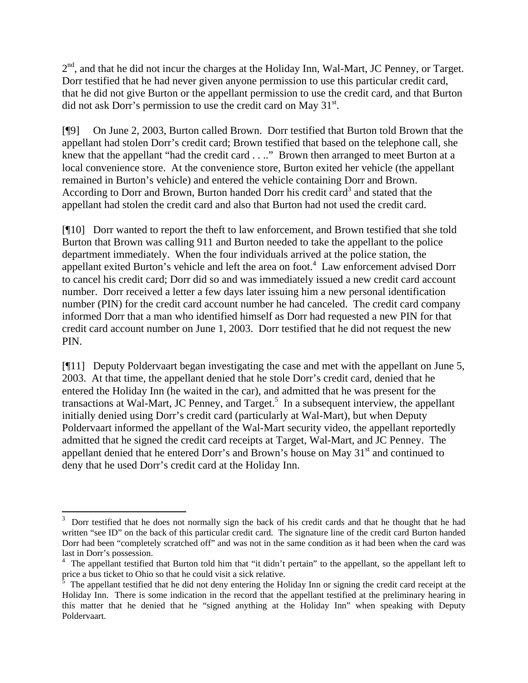$2<sup>nd</sup>$ , and that he did not incur the charges at the Holiday Inn, Wal-Mart, JC Penney, or Target. Dorr testified that he had never given anyone permission to use this particular credit card, that he did not give Burton or the appellant permission to use the credit card, and that Burton did not ask Dorr's permission to use the credit card on May 31<sup>st</sup>.

[¶9] On June 2, 2003, Burton called Brown. Dorr testified that Burton told Brown that the appellant had stolen Dorr's credit card; Brown testified that based on the telephone call, she knew that the appellant "had the credit card . . .." Brown then arranged to meet Burton at a local convenience store. At the convenience store, Burton exited her vehicle (the appellant remained in Burton's vehicle) and entered the vehicle containing Dorr and Brown. According to Dorr and Brown, Burton handed Dorr his credit card<sup>[3](#page-3-0)</sup> and stated that the appellant had stolen the credit card and also that Burton had not used the credit card.

[¶10] Dorr wanted to report the theft to law enforcement, and Brown testified that she told Burton that Brown was calling 911 and Burton needed to take the appellant to the police department immediately. When the four individuals arrived at the police station, the appellant exited Burton's vehicle and left the area on foot.<sup>[4](#page-3-1)</sup> Law enforcement advised Dorr to cancel his credit card; Dorr did so and was immediately issued a new credit card account number. Dorr received a letter a few days later issuing him a new personal identification number (PIN) for the credit card account number he had canceled. The credit card company informed Dorr that a man who identified himself as Dorr had requested a new PIN for that credit card account number on June 1, 2003. Dorr testified that he did not request the new PIN.

[¶11] Deputy Poldervaart began investigating the case and met with the appellant on June 5, 2003. At that time, the appellant denied that he stole Dorr's credit card, denied that he entered the Holiday Inn (he waited in the car), and admitted that he was present for the transactions at Wal-Mart, JC Penney, and Target.<sup>[5](#page-3-2)</sup> In a subsequent interview, the appellant initially denied using Dorr's credit card (particularly at Wal-Mart), but when Deputy Poldervaart informed the appellant of the Wal-Mart security video, the appellant reportedly admitted that he signed the credit card receipts at Target, Wal-Mart, and JC Penney. The appellant denied that he entered Dorr's and Brown's house on May  $31<sup>st</sup>$  and continued to deny that he used Dorr's credit card at the Holiday Inn.

 $\overline{a}$ 

<span id="page-3-0"></span><sup>3</sup> Dorr testified that he does not normally sign the back of his credit cards and that he thought that he had written "see ID" on the back of this particular credit card. The signature line of the credit card Burton handed Dorr had been "completely scratched off" and was not in the same condition as it had been when the card was last in Dorr's possession.

<span id="page-3-1"></span><sup>&</sup>lt;sup>4</sup> The appellant testified that Burton told him that "it didn't pertain" to the appellant, so the appellant left to price a bus ticket to Ohio so that he could visit a sick relative.

<span id="page-3-2"></span><sup>5</sup> The appellant testified that he did not deny entering the Holiday Inn or signing the credit card receipt at the Holiday Inn. There is some indication in the record that the appellant testified at the preliminary hearing in this matter that he denied that he "signed anything at the Holiday Inn" when speaking with Deputy Poldervaart.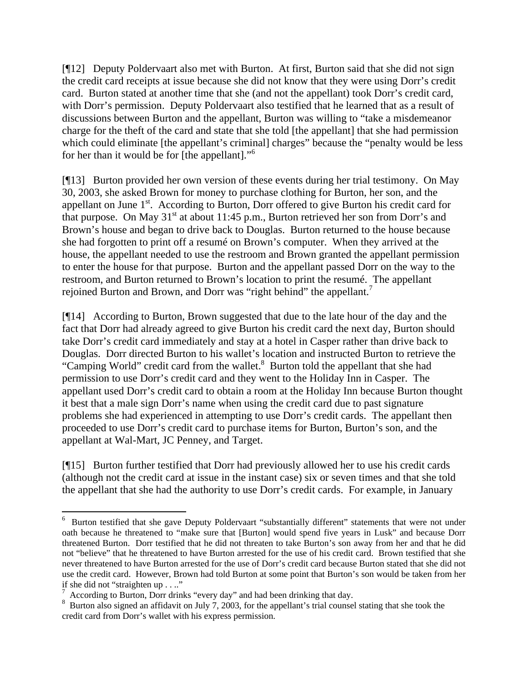[¶12] Deputy Poldervaart also met with Burton. At first, Burton said that she did not sign the credit card receipts at issue because she did not know that they were using Dorr's credit card. Burton stated at another time that she (and not the appellant) took Dorr's credit card, with Dorr's permission. Deputy Poldervaart also testified that he learned that as a result of discussions between Burton and the appellant, Burton was willing to "take a misdemeanor charge for the theft of the card and state that she told [the appellant] that she had permission which could eliminate [the appellant's criminal] charges" because the "penalty would be less for her than it would be for [the appellant]."[6](#page-4-0)

[¶13] Burton provided her own version of these events during her trial testimony. On May 30, 2003, she asked Brown for money to purchase clothing for Burton, her son, and the appellant on June 1<sup>st</sup>. According to Burton, Dorr offered to give Burton his credit card for that purpose. On May  $31<sup>st</sup>$  at about 11:45 p.m., Burton retrieved her son from Dorr's and Brown's house and began to drive back to Douglas. Burton returned to the house because she had forgotten to print off a resumé on Brown's computer. When they arrived at the house, the appellant needed to use the restroom and Brown granted the appellant permission to enter the house for that purpose. Burton and the appellant passed Dorr on the way to the restroom, and Burton returned to Brown's location to print the resumé. The appellant rejoined Burton and Brown, and Dorr was "right behind" the appellant.<sup>[7](#page-4-1)</sup>

[¶14] According to Burton, Brown suggested that due to the late hour of the day and the fact that Dorr had already agreed to give Burton his credit card the next day, Burton should take Dorr's credit card immediately and stay at a hotel in Casper rather than drive back to Douglas. Dorr directed Burton to his wallet's location and instructed Burton to retrieve the "Camping World" credit card from the wallet.<sup>[8](#page-4-2)</sup> Burton told the appellant that she had permission to use Dorr's credit card and they went to the Holiday Inn in Casper. The appellant used Dorr's credit card to obtain a room at the Holiday Inn because Burton thought it best that a male sign Dorr's name when using the credit card due to past signature problems she had experienced in attempting to use Dorr's credit cards. The appellant then proceeded to use Dorr's credit card to purchase items for Burton, Burton's son, and the appellant at Wal-Mart, JC Penney, and Target.

[¶15] Burton further testified that Dorr had previously allowed her to use his credit cards (although not the credit card at issue in the instant case) six or seven times and that she told the appellant that she had the authority to use Dorr's credit cards. For example, in January

<span id="page-4-0"></span>EV Burton testified that she gave Deputy Poldervaart "substantially different" statements that were not under oath because he threatened to "make sure that [Burton] would spend five years in Lusk" and because Dorr threatened Burton. Dorr testified that he did not threaten to take Burton's son away from her and that he did not "believe" that he threatened to have Burton arrested for the use of his credit card. Brown testified that she never threatened to have Burton arrested for the use of Dorr's credit card because Burton stated that she did not use the credit card. However, Brown had told Burton at some point that Burton's son would be taken from her if she did not "straighten up . . .."

<span id="page-4-1"></span><sup>&</sup>lt;sup>7</sup> According to Burton, Dorr drinks "every day" and had been drinking that day.

<span id="page-4-2"></span> $8\,$  Burton also signed an affidavit on July 7, 2003, for the appellant's trial counsel stating that she took the credit card from Dorr's wallet with his express permission.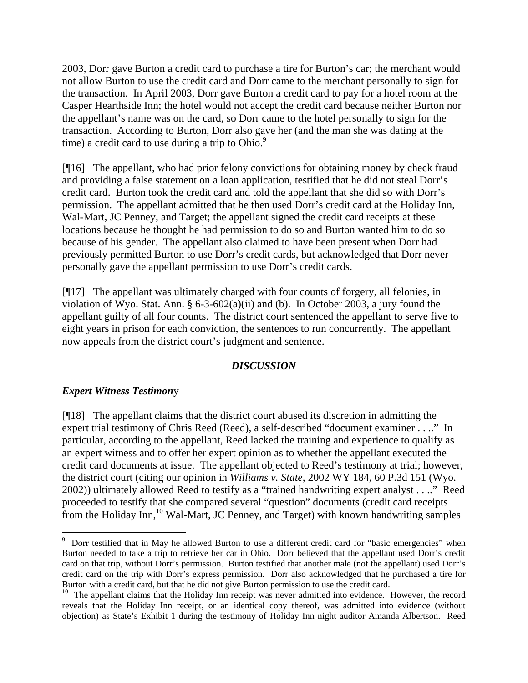2003, Dorr gave Burton a credit card to purchase a tire for Burton's car; the merchant would not allow Burton to use the credit card and Dorr came to the merchant personally to sign for the transaction. In April 2003, Dorr gave Burton a credit card to pay for a hotel room at the Casper Hearthside Inn; the hotel would not accept the credit card because neither Burton nor the appellant's name was on the card, so Dorr came to the hotel personally to sign for the transaction. According to Burton, Dorr also gave her (and the man she was dating at the time) a credit card to use during a trip to  $O<sup>9</sup>$  $O<sup>9</sup>$  $O<sup>9</sup>$ .

[¶16] The appellant, who had prior felony convictions for obtaining money by check fraud and providing a false statement on a loan application, testified that he did not steal Dorr's credit card. Burton took the credit card and told the appellant that she did so with Dorr's permission. The appellant admitted that he then used Dorr's credit card at the Holiday Inn, Wal-Mart, JC Penney, and Target; the appellant signed the credit card receipts at these locations because he thought he had permission to do so and Burton wanted him to do so because of his gender. The appellant also claimed to have been present when Dorr had previously permitted Burton to use Dorr's credit cards, but acknowledged that Dorr never personally gave the appellant permission to use Dorr's credit cards.

[¶17] The appellant was ultimately charged with four counts of forgery, all felonies, in violation of Wyo. Stat. Ann. § 6-3-602(a)(ii) and (b). In October 2003, a jury found the appellant guilty of all four counts. The district court sentenced the appellant to serve five to eight years in prison for each conviction, the sentences to run concurrently. The appellant now appeals from the district court's judgment and sentence.

#### *DISCUSSION*

#### *Expert Witness Testimon*y

[¶18] The appellant claims that the district court abused its discretion in admitting the expert trial testimony of Chris Reed (Reed), a self-described "document examiner . . .." In particular, according to the appellant, Reed lacked the training and experience to qualify as an expert witness and to offer her expert opinion as to whether the appellant executed the credit card documents at issue. The appellant objected to Reed's testimony at trial; however, the district court (citing our opinion in *Williams v. State*, 2002 WY 184, 60 P.3d 151 (Wyo. 2002)) ultimately allowed Reed to testify as a "trained handwriting expert analyst . . .." Reed proceeded to testify that she compared several "question" documents (credit card receipts from the Holiday Inn,<sup>10</sup> Wal-Mart, JC Penney, and Target) with known handwriting samples

<span id="page-5-0"></span><sup>&</sup>lt;sup>9</sup> Dorr testified that in May he allowed Burton to use a different credit card for "basic emergencies" when Burton needed to take a trip to retrieve her car in Ohio. Dorr believed that the appellant used Dorr's credit card on that trip, without Dorr's permission. Burton testified that another male (not the appellant) used Dorr's credit card on the trip with Dorr's express permission. Dorr also acknowledged that he purchased a tire for Burton with a credit card, but that he did not give Burton permission to use the credit card.

<span id="page-5-1"></span><sup>&</sup>lt;sup>10</sup> The appellant claims that the Holiday Inn receipt was never admitted into evidence. However, the record reveals that the Holiday Inn receipt, or an identical copy thereof, was admitted into evidence (without objection) as State's Exhibit 1 during the testimony of Holiday Inn night auditor Amanda Albertson. Reed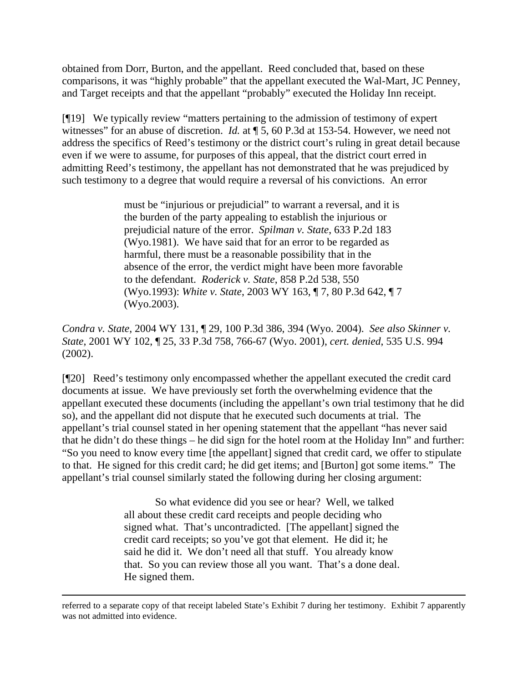obtained from Dorr, Burton, and the appellant. Reed concluded that, based on these comparisons, it was "highly probable" that the appellant executed the Wal-Mart, JC Penney, and Target receipts and that the appellant "probably" executed the Holiday Inn receipt.

[¶19] We typically review "matters pertaining to the admission of testimony of expert witnesses" for an abuse of discretion. *Id.* at  $\sqrt{9}$  5, 60 P.3d at 153-54. However, we need not address the specifics of Reed's testimony or the district court's ruling in great detail because even if we were to assume, for purposes of this appeal, that the district court erred in admitting Reed's testimony, the appellant has not demonstrated that he was prejudiced by such testimony to a degree that would require a reversal of his convictions. An error

> must be "injurious or prejudicial" to warrant a reversal, and it is the burden of the party appealing to establish the injurious or prejudicial nature of the error. *Spilman v. State*, 633 P.2d 183 (Wyo.1981). We have said that for an error to be regarded as harmful, there must be a reasonable possibility that in the absence of the error, the verdict might have been more favorable to the defendant. *Roderick v. State*, 858 P.2d 538, 550 (Wyo.1993): *White v. State*, 2003 WY 163, ¶ 7, 80 P.3d 642, ¶ 7 (Wyo.2003).

*Condra v. State*, 2004 WY 131, ¶ 29, 100 P.3d 386, 394 (Wyo. 2004). *See also Skinner v. State*, 2001 WY 102, ¶ 25, 33 P.3d 758, 766-67 (Wyo. 2001), *cert. denied*, 535 U.S. 994 (2002).

[¶20] Reed's testimony only encompassed whether the appellant executed the credit card documents at issue. We have previously set forth the overwhelming evidence that the appellant executed these documents (including the appellant's own trial testimony that he did so), and the appellant did not dispute that he executed such documents at trial. The appellant's trial counsel stated in her opening statement that the appellant "has never said that he didn't do these things – he did sign for the hotel room at the Holiday Inn" and further: "So you need to know every time [the appellant] signed that credit card, we offer to stipulate to that. He signed for this credit card; he did get items; and [Burton] got some items." The appellant's trial counsel similarly stated the following during her closing argument:

> So what evidence did you see or hear? Well, we talked all about these credit card receipts and people deciding who signed what. That's uncontradicted. [The appellant] signed the credit card receipts; so you've got that element. He did it; he said he did it. We don't need all that stuff. You already know that. So you can review those all you want. That's a done deal. He signed them.

 $\overline{a}$ 

referred to a separate copy of that receipt labeled State's Exhibit 7 during her testimony. Exhibit 7 apparently was not admitted into evidence.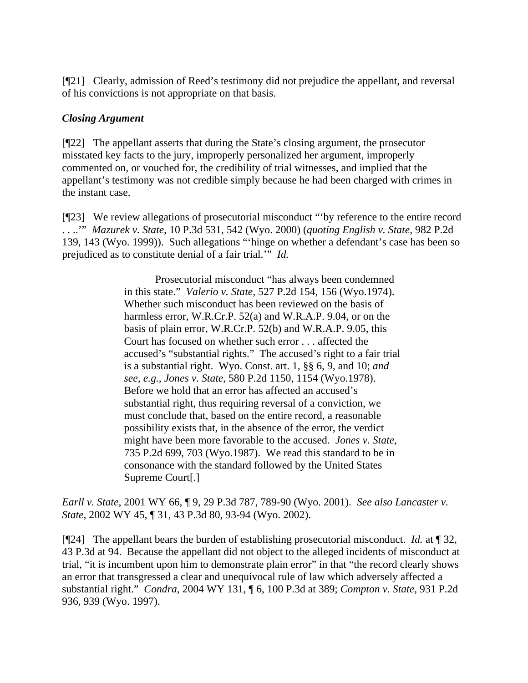[¶21] Clearly, admission of Reed's testimony did not prejudice the appellant, and reversal of his convictions is not appropriate on that basis.

### *Closing Argument*

[¶22] The appellant asserts that during the State's closing argument, the prosecutor misstated key facts to the jury, improperly personalized her argument, improperly commented on, or vouched for, the credibility of trial witnesses, and implied that the appellant's testimony was not credible simply because he had been charged with crimes in the instant case.

[¶23] We review allegations of prosecutorial misconduct "'by reference to the entire record . . ..'" *Mazurek v. State*, 10 P.3d 531, 542 (Wyo. 2000) (*quoting English v. State*, 982 P.2d 139, 143 (Wyo. 1999)). Such allegations "'hinge on whether a defendant's case has been so prejudiced as to constitute denial of a fair trial.'" *Id.*

> Prosecutorial misconduct "has always been condemned in this state." *Valerio v. State*, 527 P.2d 154, 156 (Wyo.1974). Whether such misconduct has been reviewed on the basis of harmless error, W.R.Cr.P. 52(a) and W.R.A.P. 9.04, or on the basis of plain error, W.R.Cr.P. 52(b) and W.R.A.P. 9.05, this Court has focused on whether such error . . . affected the accused's "substantial rights." The accused's right to a fair trial is a substantial right. Wyo. Const. art. 1, §§ 6, 9, and 10; *and see, e.g., Jones v. State*, 580 P.2d 1150, 1154 (Wyo.1978). Before we hold that an error has affected an accused's substantial right, thus requiring reversal of a conviction, we must conclude that, based on the entire record, a reasonable possibility exists that, in the absence of the error, the verdict might have been more favorable to the accused. *Jones v. State*, 735 P.2d 699, 703 (Wyo.1987). We read this standard to be in consonance with the standard followed by the United States Supreme Court[.]

*Earll v. State*, 2001 WY 66, ¶ 9, 29 P.3d 787, 789-90 (Wyo. 2001). *See also Lancaster v. State*, 2002 WY 45, ¶ 31, 43 P.3d 80, 93-94 (Wyo. 2002).

[¶24] The appellant bears the burden of establishing prosecutorial misconduct. *Id.* at ¶ 32, 43 P.3d at 94. Because the appellant did not object to the alleged incidents of misconduct at trial, "it is incumbent upon him to demonstrate plain error" in that "the record clearly shows an error that transgressed a clear and unequivocal rule of law which adversely affected a substantial right." *Condra*, 2004 WY 131, ¶ 6, 100 P.3d at 389; *Compton v. State*, 931 P.2d 936, 939 (Wyo. 1997).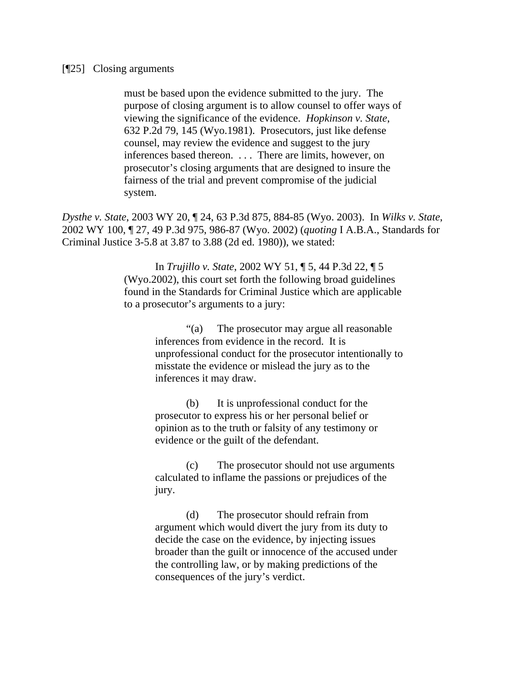#### [¶25] Closing arguments

must be based upon the evidence submitted to the jury. The purpose of closing argument is to allow counsel to offer ways of viewing the significance of the evidence. *Hopkinson v. State*, 632 P.2d 79, 145 (Wyo.1981). Prosecutors, just like defense counsel, may review the evidence and suggest to the jury inferences based thereon. . . . There are limits, however, on prosecutor's closing arguments that are designed to insure the fairness of the trial and prevent compromise of the judicial system.

*Dysthe v. State*, 2003 WY 20, ¶ 24, 63 P.3d 875, 884-85 (Wyo. 2003). In *Wilks v. State*, 2002 WY 100, ¶ 27, 49 P.3d 975, 986-87 (Wyo. 2002) (*quoting* I A.B.A., Standards for Criminal Justice 3-5.8 at 3.87 to 3.88 (2d ed. 1980)), we stated:

> In *Trujillo v. State*, 2002 WY 51, ¶ 5, 44 P.3d 22, ¶ 5 (Wyo.2002), this court set forth the following broad guidelines found in the Standards for Criminal Justice which are applicable to a prosecutor's arguments to a jury:

> > "(a) The prosecutor may argue all reasonable inferences from evidence in the record. It is unprofessional conduct for the prosecutor intentionally to misstate the evidence or mislead the jury as to the inferences it may draw.

(b) It is unprofessional conduct for the prosecutor to express his or her personal belief or opinion as to the truth or falsity of any testimony or evidence or the guilt of the defendant.

(c) The prosecutor should not use arguments calculated to inflame the passions or prejudices of the jury.

(d) The prosecutor should refrain from argument which would divert the jury from its duty to decide the case on the evidence, by injecting issues broader than the guilt or innocence of the accused under the controlling law, or by making predictions of the consequences of the jury's verdict.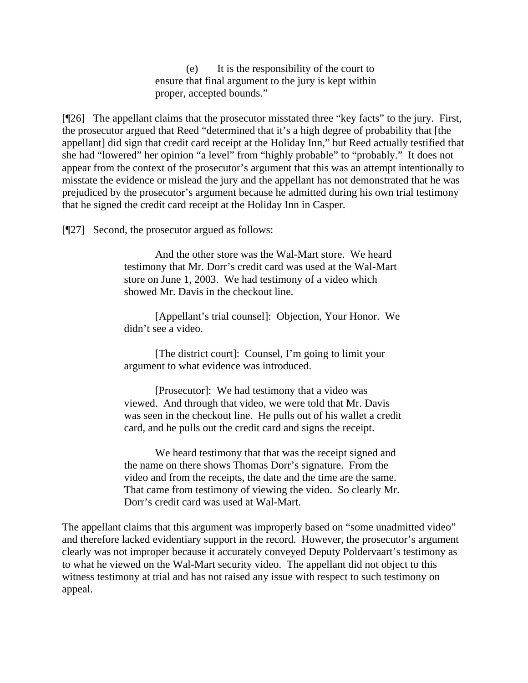(e) It is the responsibility of the court to ensure that final argument to the jury is kept within proper, accepted bounds."

[¶26] The appellant claims that the prosecutor misstated three "key facts" to the jury. First, the prosecutor argued that Reed "determined that it's a high degree of probability that [the appellant] did sign that credit card receipt at the Holiday Inn," but Reed actually testified that she had "lowered" her opinion "a level" from "highly probable" to "probably." It does not appear from the context of the prosecutor's argument that this was an attempt intentionally to misstate the evidence or mislead the jury and the appellant has not demonstrated that he was prejudiced by the prosecutor's argument because he admitted during his own trial testimony that he signed the credit card receipt at the Holiday Inn in Casper.

[¶27] Second, the prosecutor argued as follows:

And the other store was the Wal-Mart store. We heard testimony that Mr. Dorr's credit card was used at the Wal-Mart store on June 1, 2003. We had testimony of a video which showed Mr. Davis in the checkout line.

[Appellant's trial counsel]: Objection, Your Honor. We didn't see a video.

[The district court]: Counsel, I'm going to limit your argument to what evidence was introduced.

[Prosecutor]: We had testimony that a video was viewed. And through that video, we were told that Mr. Davis was seen in the checkout line. He pulls out of his wallet a credit card, and he pulls out the credit card and signs the receipt.

We heard testimony that that was the receipt signed and the name on there shows Thomas Dorr's signature. From the video and from the receipts, the date and the time are the same. That came from testimony of viewing the video. So clearly Mr. Dorr's credit card was used at Wal-Mart.

The appellant claims that this argument was improperly based on "some unadmitted video" and therefore lacked evidentiary support in the record. However, the prosecutor's argument clearly was not improper because it accurately conveyed Deputy Poldervaart's testimony as to what he viewed on the Wal-Mart security video. The appellant did not object to this witness testimony at trial and has not raised any issue with respect to such testimony on appeal.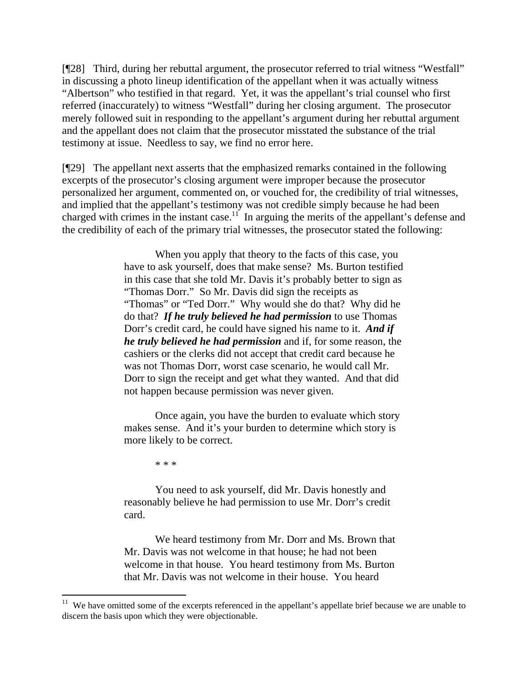[¶28] Third, during her rebuttal argument, the prosecutor referred to trial witness "Westfall" in discussing a photo lineup identification of the appellant when it was actually witness "Albertson" who testified in that regard. Yet, it was the appellant's trial counsel who first referred (inaccurately) to witness "Westfall" during her closing argument. The prosecutor merely followed suit in responding to the appellant's argument during her rebuttal argument and the appellant does not claim that the prosecutor misstated the substance of the trial testimony at issue. Needless to say, we find no error here.

[¶29] The appellant next asserts that the emphasized remarks contained in the following excerpts of the prosecutor's closing argument were improper because the prosecutor personalized her argument, commented on, or vouched for, the credibility of trial witnesses, and implied that the appellant's testimony was not credible simply because he had been charged with crimes in the instant case.<sup>11</sup> In arguing the merits of the appellant's defense and the credibility of each of the primary trial witnesses, the prosecutor stated the following:

> When you apply that theory to the facts of this case, you have to ask yourself, does that make sense? Ms. Burton testified in this case that she told Mr. Davis it's probably better to sign as "Thomas Dorr." So Mr. Davis did sign the receipts as "Thomas" or "Ted Dorr." Why would she do that? Why did he do that? *If he truly believed he had permission* to use Thomas Dorr's credit card, he could have signed his name to it. *And if he truly believed he had permission* and if, for some reason, the cashiers or the clerks did not accept that credit card because he was not Thomas Dorr, worst case scenario, he would call Mr. Dorr to sign the receipt and get what they wanted. And that did not happen because permission was never given.

Once again, you have the burden to evaluate which story makes sense. And it's your burden to determine which story is more likely to be correct.

\* \* \*

 $\overline{a}$ 

 You need to ask yourself, did Mr. Davis honestly and reasonably believe he had permission to use Mr. Dorr's credit card.

 We heard testimony from Mr. Dorr and Ms. Brown that Mr. Davis was not welcome in that house; he had not been welcome in that house. You heard testimony from Ms. Burton that Mr. Davis was not welcome in their house. You heard

<span id="page-10-0"></span> $11$  We have omitted some of the excerpts referenced in the appellant's appellate brief because we are unable to discern the basis upon which they were objectionable.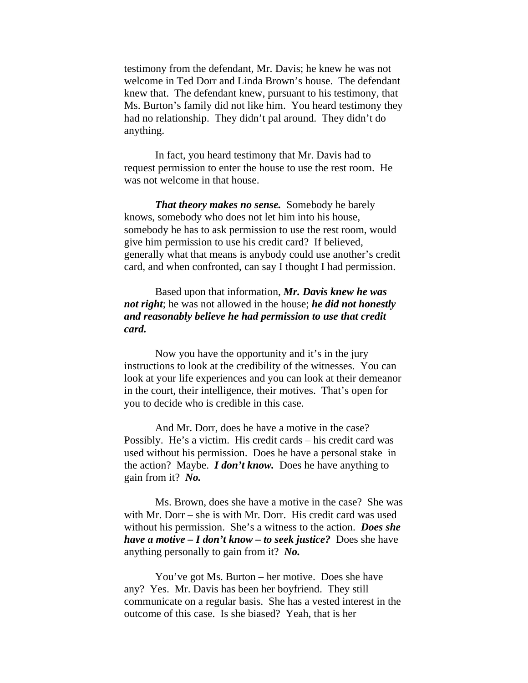testimony from the defendant, Mr. Davis; he knew he was not welcome in Ted Dorr and Linda Brown's house. The defendant knew that. The defendant knew, pursuant to his testimony, that Ms. Burton's family did not like him. You heard testimony they had no relationship. They didn't pal around. They didn't do anything.

 In fact, you heard testimony that Mr. Davis had to request permission to enter the house to use the rest room. He was not welcome in that house.

*That theory makes no sense.* Somebody he barely knows, somebody who does not let him into his house, somebody he has to ask permission to use the rest room, would give him permission to use his credit card? If believed, generally what that means is anybody could use another's credit card, and when confronted, can say I thought I had permission.

 Based upon that information, *Mr. Davis knew he was not right*; he was not allowed in the house; *he did not honestly and reasonably believe he had permission to use that credit card.* 

 Now you have the opportunity and it's in the jury instructions to look at the credibility of the witnesses. You can look at your life experiences and you can look at their demeanor in the court, their intelligence, their motives. That's open for you to decide who is credible in this case.

 And Mr. Dorr, does he have a motive in the case? Possibly. He's a victim. His credit cards – his credit card was used without his permission. Does he have a personal stake in the action? Maybe. *I don't know.* Does he have anything to gain from it? *No.*

 Ms. Brown, does she have a motive in the case? She was with Mr. Dorr – she is with Mr. Dorr. His credit card was used without his permission. She's a witness to the action. *Does she have a motive – I don't know – to seek justice?* Does she have anything personally to gain from it? *No.*

 You've got Ms. Burton – her motive. Does she have any? Yes. Mr. Davis has been her boyfriend. They still communicate on a regular basis. She has a vested interest in the outcome of this case. Is she biased? Yeah, that is her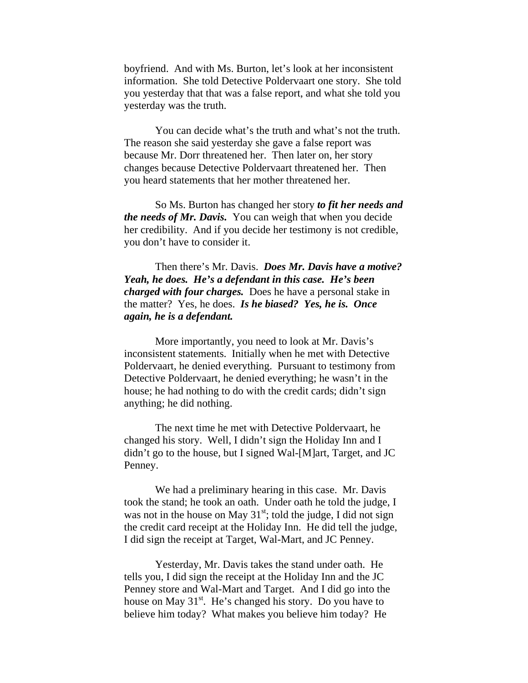boyfriend. And with Ms. Burton, let's look at her inconsistent information. She told Detective Poldervaart one story. She told you yesterday that that was a false report, and what she told you yesterday was the truth.

 You can decide what's the truth and what's not the truth. The reason she said yesterday she gave a false report was because Mr. Dorr threatened her. Then later on, her story changes because Detective Poldervaart threatened her. Then you heard statements that her mother threatened her.

 So Ms. Burton has changed her story *to fit her needs and the needs of Mr. Davis.* You can weigh that when you decide her credibility. And if you decide her testimony is not credible, you don't have to consider it.

 Then there's Mr. Davis. *Does Mr. Davis have a motive? Yeah, he does. He's a defendant in this case. He's been charged with four charges.* Does he have a personal stake in the matter? Yes, he does. *Is he biased? Yes, he is. Once again, he is a defendant.* 

 More importantly, you need to look at Mr. Davis's inconsistent statements. Initially when he met with Detective Poldervaart, he denied everything. Pursuant to testimony from Detective Poldervaart, he denied everything; he wasn't in the house; he had nothing to do with the credit cards; didn't sign anything; he did nothing.

 The next time he met with Detective Poldervaart, he changed his story. Well, I didn't sign the Holiday Inn and I didn't go to the house, but I signed Wal-[M]art, Target, and JC Penney.

 We had a preliminary hearing in this case. Mr. Davis took the stand; he took an oath. Under oath he told the judge, I was not in the house on May  $31<sup>st</sup>$ ; told the judge, I did not sign the credit card receipt at the Holiday Inn. He did tell the judge, I did sign the receipt at Target, Wal-Mart, and JC Penney.

 Yesterday, Mr. Davis takes the stand under oath. He tells you, I did sign the receipt at the Holiday Inn and the JC Penney store and Wal-Mart and Target. And I did go into the house on May  $31<sup>st</sup>$ . He's changed his story. Do you have to believe him today? What makes you believe him today? He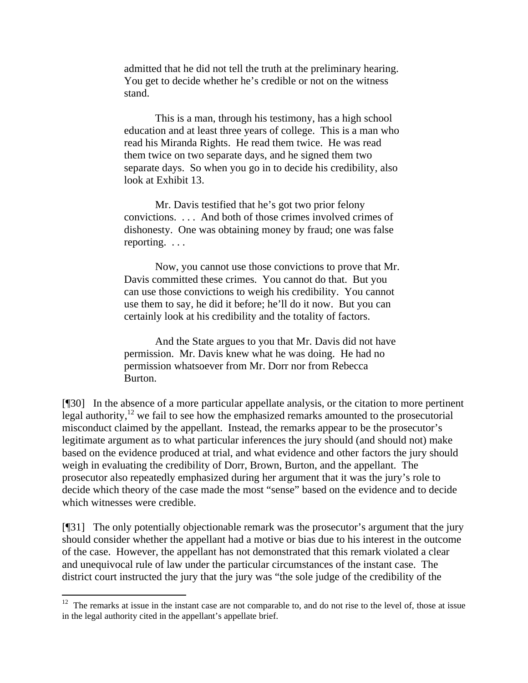admitted that he did not tell the truth at the preliminary hearing. You get to decide whether he's credible or not on the witness stand.

 This is a man, through his testimony, has a high school education and at least three years of college. This is a man who read his Miranda Rights. He read them twice. He was read them twice on two separate days, and he signed them two separate days. So when you go in to decide his credibility, also look at Exhibit 13.

 Mr. Davis testified that he's got two prior felony convictions. . . . And both of those crimes involved crimes of dishonesty. One was obtaining money by fraud; one was false reporting. . . .

 Now, you cannot use those convictions to prove that Mr. Davis committed these crimes. You cannot do that. But you can use those convictions to weigh his credibility. You cannot use them to say, he did it before; he'll do it now. But you can certainly look at his credibility and the totality of factors.

 And the State argues to you that Mr. Davis did not have permission. Mr. Davis knew what he was doing. He had no permission whatsoever from Mr. Dorr nor from Rebecca Burton.

[¶30] In the absence of a more particular appellate analysis, or the citation to more pertinent legal authority, $^{12}$  we fail to see how the emphasized remarks amounted to the prosecutorial misconduct claimed by the appellant. Instead, the remarks appear to be the prosecutor's legitimate argument as to what particular inferences the jury should (and should not) make based on the evidence produced at trial, and what evidence and other factors the jury should weigh in evaluating the credibility of Dorr, Brown, Burton, and the appellant. The prosecutor also repeatedly emphasized during her argument that it was the jury's role to decide which theory of the case made the most "sense" based on the evidence and to decide which witnesses were credible.

[¶31] The only potentially objectionable remark was the prosecutor's argument that the jury should consider whether the appellant had a motive or bias due to his interest in the outcome of the case. However, the appellant has not demonstrated that this remark violated a clear and unequivocal rule of law under the particular circumstances of the instant case. The district court instructed the jury that the jury was "the sole judge of the credibility of the

<span id="page-13-0"></span> $12$  The remarks at issue in the instant case are not comparable to, and do not rise to the level of, those at issue in the legal authority cited in the appellant's appellate brief.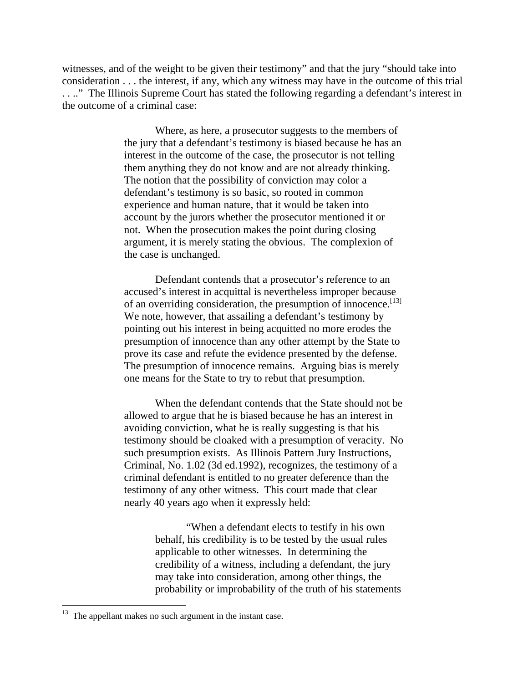witnesses, and of the weight to be given their testimony" and that the jury "should take into consideration . . . the interest, if any, which any witness may have in the outcome of this trial . . .." The Illinois Supreme Court has stated the following regarding a defendant's interest in the outcome of a criminal case:

> Where, as here, a prosecutor suggests to the members of the jury that a defendant's testimony is biased because he has an interest in the outcome of the case, the prosecutor is not telling them anything they do not know and are not already thinking. The notion that the possibility of conviction may color a defendant's testimony is so basic, so rooted in common experience and human nature, that it would be taken into account by the jurors whether the prosecutor mentioned it or not. When the prosecution makes the point during closing argument, it is merely stating the obvious. The complexion of the case is unchanged.

> Defendant contends that a prosecutor's reference to an accused's interest in acquittal is nevertheless improper because of an overriding consideration, the presumption of innocence.<sup>[13]</sup> We note, however, that assailing a defendant's testimony by pointing out his interest in being acquitted no more erodes the presumption of innocence than any other attempt by the State to prove its case and refute the evidence presented by the defense. The presumption of innocence remains. Arguing bias is merely one means for the State to try to rebut that presumption.

> When the defendant contends that the State should not be allowed to argue that he is biased because he has an interest in avoiding conviction, what he is really suggesting is that his testimony should be cloaked with a presumption of veracity. No such presumption exists. As Illinois Pattern Jury Instructions, Criminal, No. 1.02 (3d ed.1992), recognizes, the testimony of a criminal defendant is entitled to no greater deference than the testimony of any other witness. This court made that clear nearly 40 years ago when it expressly held:

> > "When a defendant elects to testify in his own behalf, his credibility is to be tested by the usual rules applicable to other witnesses. In determining the credibility of a witness, including a defendant, the jury may take into consideration, among other things, the probability or improbability of the truth of his statements

 $\overline{a}$ 

<span id="page-14-0"></span> $13$  The appellant makes no such argument in the instant case.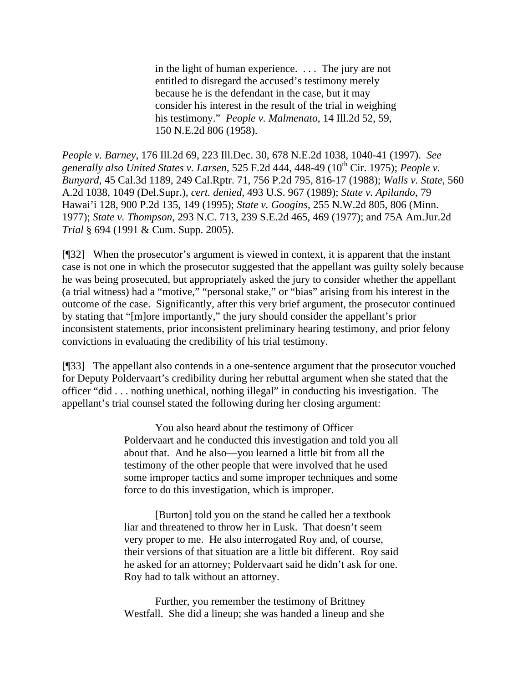in the light of human experience. . . . The jury are not entitled to disregard the accused's testimony merely because he is the defendant in the case, but it may consider his interest in the result of the trial in weighing his testimony." *People v. Malmenato*, 14 Ill.2d 52, 59, 150 N.E.2d 806 (1958).

*People v. Barney*, 176 Ill.2d 69, 223 Ill.Dec. 30, 678 N.E.2d 1038, 1040-41 (1997). *See generally also United States v. Larsen*, 525 F.2d 444, 448-49 (10th Cir. 1975); *People v. Bunyard*, 45 Cal.3d 1189, 249 Cal.Rptr. 71, 756 P.2d 795, 816-17 (1988); *Walls v. State*, 560 A.2d 1038, 1049 (Del.Supr.), *cert. denied*, 493 U.S. 967 (1989); *State v. Apilando*, 79 Hawai'i 128, 900 P.2d 135, 149 (1995); *State v. Googins*, 255 N.W.2d 805, 806 (Minn. 1977); *State v. Thompson*, 293 N.C. 713, 239 S.E.2d 465, 469 (1977); and 75A Am.Jur.2d *Trial* § 694 (1991 & Cum. Supp. 2005).

[¶32] When the prosecutor's argument is viewed in context, it is apparent that the instant case is not one in which the prosecutor suggested that the appellant was guilty solely because he was being prosecuted, but appropriately asked the jury to consider whether the appellant (a trial witness) had a "motive," "personal stake," or "bias" arising from his interest in the outcome of the case. Significantly, after this very brief argument, the prosecutor continued by stating that "[m]ore importantly," the jury should consider the appellant's prior inconsistent statements, prior inconsistent preliminary hearing testimony, and prior felony convictions in evaluating the credibility of his trial testimony.

[¶33] The appellant also contends in a one-sentence argument that the prosecutor vouched for Deputy Poldervaart's credibility during her rebuttal argument when she stated that the officer "did . . . nothing unethical, nothing illegal" in conducting his investigation. The appellant's trial counsel stated the following during her closing argument:

> You also heard about the testimony of Officer Poldervaart and he conducted this investigation and told you all about that. And he also—you learned a little bit from all the testimony of the other people that were involved that he used some improper tactics and some improper techniques and some force to do this investigation, which is improper.

> [Burton] told you on the stand he called her a textbook liar and threatened to throw her in Lusk. That doesn't seem very proper to me. He also interrogated Roy and, of course, their versions of that situation are a little bit different. Roy said he asked for an attorney; Poldervaart said he didn't ask for one. Roy had to talk without an attorney.

 Further, you remember the testimony of Brittney Westfall. She did a lineup; she was handed a lineup and she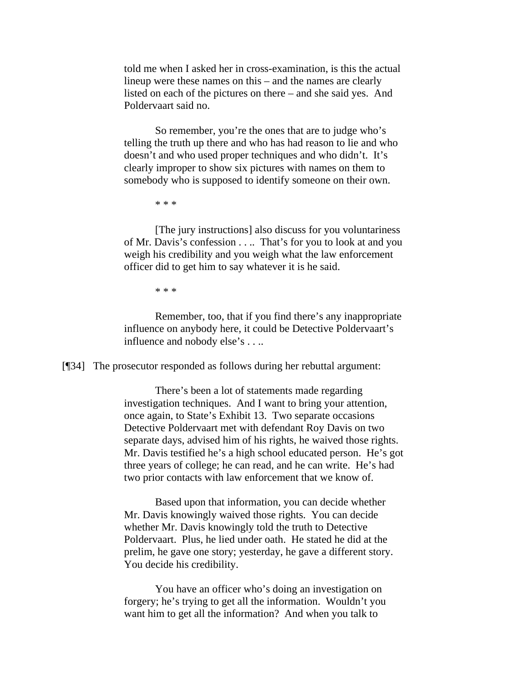told me when I asked her in cross-examination, is this the actual lineup were these names on this – and the names are clearly listed on each of the pictures on there – and she said yes. And Poldervaart said no.

 So remember, you're the ones that are to judge who's telling the truth up there and who has had reason to lie and who doesn't and who used proper techniques and who didn't. It's clearly improper to show six pictures with names on them to somebody who is supposed to identify someone on their own.

\* \* \*

 [The jury instructions] also discuss for you voluntariness of Mr. Davis's confession . . .. That's for you to look at and you weigh his credibility and you weigh what the law enforcement officer did to get him to say whatever it is he said.

\* \* \*

 Remember, too, that if you find there's any inappropriate influence on anybody here, it could be Detective Poldervaart's influence and nobody else's . . ..

[¶34] The prosecutor responded as follows during her rebuttal argument:

 There's been a lot of statements made regarding investigation techniques. And I want to bring your attention, once again, to State's Exhibit 13. Two separate occasions Detective Poldervaart met with defendant Roy Davis on two separate days, advised him of his rights, he waived those rights. Mr. Davis testified he's a high school educated person. He's got three years of college; he can read, and he can write. He's had two prior contacts with law enforcement that we know of.

 Based upon that information, you can decide whether Mr. Davis knowingly waived those rights. You can decide whether Mr. Davis knowingly told the truth to Detective Poldervaart. Plus, he lied under oath. He stated he did at the prelim, he gave one story; yesterday, he gave a different story. You decide his credibility.

 You have an officer who's doing an investigation on forgery; he's trying to get all the information. Wouldn't you want him to get all the information? And when you talk to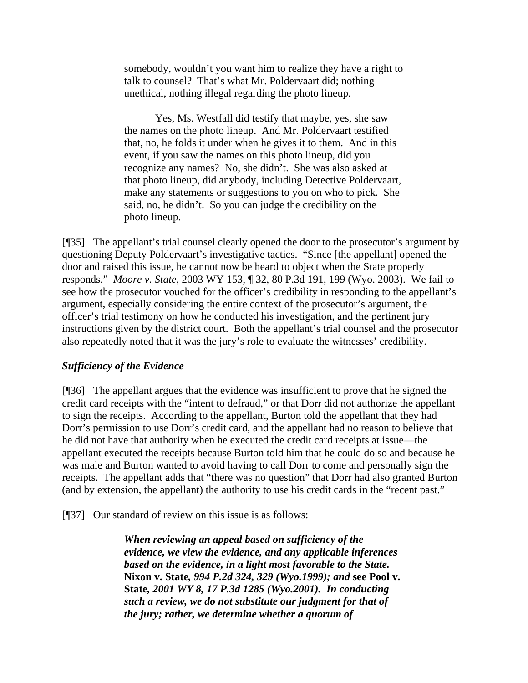somebody, wouldn't you want him to realize they have a right to talk to counsel? That's what Mr. Poldervaart did; nothing unethical, nothing illegal regarding the photo lineup.

 Yes, Ms. Westfall did testify that maybe, yes, she saw the names on the photo lineup. And Mr. Poldervaart testified that, no, he folds it under when he gives it to them. And in this event, if you saw the names on this photo lineup, did you recognize any names? No, she didn't. She was also asked at that photo lineup, did anybody, including Detective Poldervaart, make any statements or suggestions to you on who to pick. She said, no, he didn't. So you can judge the credibility on the photo lineup.

[¶35] The appellant's trial counsel clearly opened the door to the prosecutor's argument by questioning Deputy Poldervaart's investigative tactics. "Since [the appellant] opened the door and raised this issue, he cannot now be heard to object when the State properly responds." *Moore v. State*, 2003 WY 153, ¶ 32, 80 P.3d 191, 199 (Wyo. 2003). We fail to see how the prosecutor vouched for the officer's credibility in responding to the appellant's argument, especially considering the entire context of the prosecutor's argument, the officer's trial testimony on how he conducted his investigation, and the pertinent jury instructions given by the district court. Both the appellant's trial counsel and the prosecutor also repeatedly noted that it was the jury's role to evaluate the witnesses' credibility.

#### *Sufficiency of the Evidence*

[¶36] The appellant argues that the evidence was insufficient to prove that he signed the credit card receipts with the "intent to defraud," or that Dorr did not authorize the appellant to sign the receipts. According to the appellant, Burton told the appellant that they had Dorr's permission to use Dorr's credit card, and the appellant had no reason to believe that he did not have that authority when he executed the credit card receipts at issue—the appellant executed the receipts because Burton told him that he could do so and because he was male and Burton wanted to avoid having to call Dorr to come and personally sign the receipts. The appellant adds that "there was no question" that Dorr had also granted Burton (and by extension, the appellant) the authority to use his credit cards in the "recent past."

[¶37] Our standard of review on this issue is as follows:

*When reviewing an appeal based on sufficiency of the evidence, we view the evidence, and any applicable inferences based on the evidence, in a light most favorable to the State.*  **Nixon v. State***, 994 P.2d 324, 329 (Wyo.1999); and* **see Pool v. State***, 2001 WY 8, 17 P.3d 1285 (Wyo.2001). In conducting such a review, we do not substitute our judgment for that of the jury; rather, we determine whether a quorum of*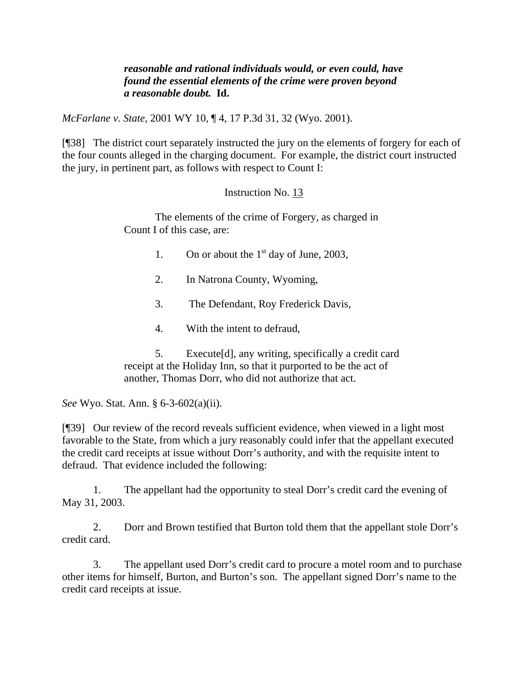#### *reasonable and rational individuals would, or even could, have found the essential elements of the crime were proven beyond a reasonable doubt.* **Id.**

*McFarlane v. State*, 2001 WY 10, ¶ 4, 17 P.3d 31, 32 (Wyo. 2001).

[¶38] The district court separately instructed the jury on the elements of forgery for each of the four counts alleged in the charging document. For example, the district court instructed the jury, in pertinent part, as follows with respect to Count I:

## Instruction No. 13

 The elements of the crime of Forgery, as charged in Count I of this case, are:

- 1. On or about the  $1<sup>st</sup>$  day of June, 2003,
- 2. In Natrona County, Wyoming,
- 3. The Defendant, Roy Frederick Davis,
- 4. With the intent to defraud,

 5. Execute[d], any writing, specifically a credit card receipt at the Holiday Inn, so that it purported to be the act of another, Thomas Dorr, who did not authorize that act.

*See* Wyo. Stat. Ann. § 6-3-602(a)(ii).

[¶39] Our review of the record reveals sufficient evidence, when viewed in a light most favorable to the State, from which a jury reasonably could infer that the appellant executed the credit card receipts at issue without Dorr's authority, and with the requisite intent to defraud. That evidence included the following:

1. The appellant had the opportunity to steal Dorr's credit card the evening of May 31, 2003.

2. Dorr and Brown testified that Burton told them that the appellant stole Dorr's credit card.

3. The appellant used Dorr's credit card to procure a motel room and to purchase other items for himself, Burton, and Burton's son. The appellant signed Dorr's name to the credit card receipts at issue.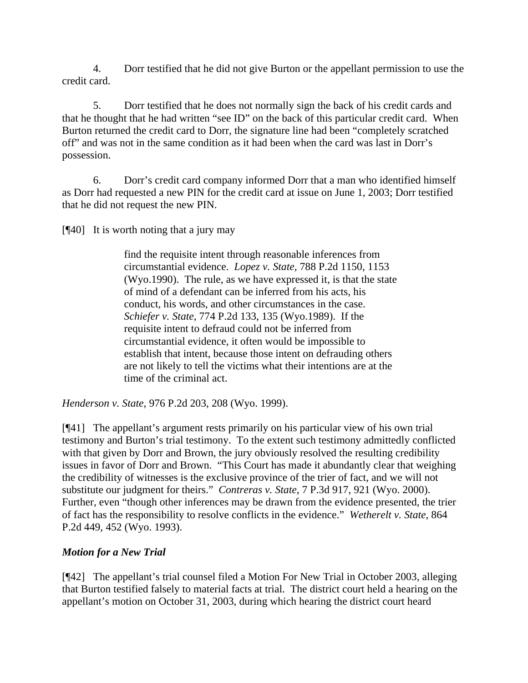4. Dorr testified that he did not give Burton or the appellant permission to use the credit card.

5. Dorr testified that he does not normally sign the back of his credit cards and that he thought that he had written "see ID" on the back of this particular credit card. When Burton returned the credit card to Dorr, the signature line had been "completely scratched off" and was not in the same condition as it had been when the card was last in Dorr's possession.

6. Dorr's credit card company informed Dorr that a man who identified himself as Dorr had requested a new PIN for the credit card at issue on June 1, 2003; Dorr testified that he did not request the new PIN.

[¶40] It is worth noting that a jury may

find the requisite intent through reasonable inferences from circumstantial evidence. *Lopez v. State*, 788 P.2d 1150, 1153 (Wyo.1990). The rule, as we have expressed it, is that the state of mind of a defendant can be inferred from his acts, his conduct, his words, and other circumstances in the case. *Schiefer v. State*, 774 P.2d 133, 135 (Wyo.1989). If the requisite intent to defraud could not be inferred from circumstantial evidence, it often would be impossible to establish that intent, because those intent on defrauding others are not likely to tell the victims what their intentions are at the time of the criminal act.

*Henderson v. State*, 976 P.2d 203, 208 (Wyo. 1999).

[¶41] The appellant's argument rests primarily on his particular view of his own trial testimony and Burton's trial testimony. To the extent such testimony admittedly conflicted with that given by Dorr and Brown, the jury obviously resolved the resulting credibility issues in favor of Dorr and Brown. "This Court has made it abundantly clear that weighing the credibility of witnesses is the exclusive province of the trier of fact, and we will not substitute our judgment for theirs." *Contreras v. State*, 7 P.3d 917, 921 (Wyo. 2000). Further, even "though other inferences may be drawn from the evidence presented, the trier of fact has the responsibility to resolve conflicts in the evidence." *Wetherelt v. State*, 864 P.2d 449, 452 (Wyo. 1993).

# *Motion for a New Trial*

[¶42] The appellant's trial counsel filed a Motion For New Trial in October 2003, alleging that Burton testified falsely to material facts at trial. The district court held a hearing on the appellant's motion on October 31, 2003, during which hearing the district court heard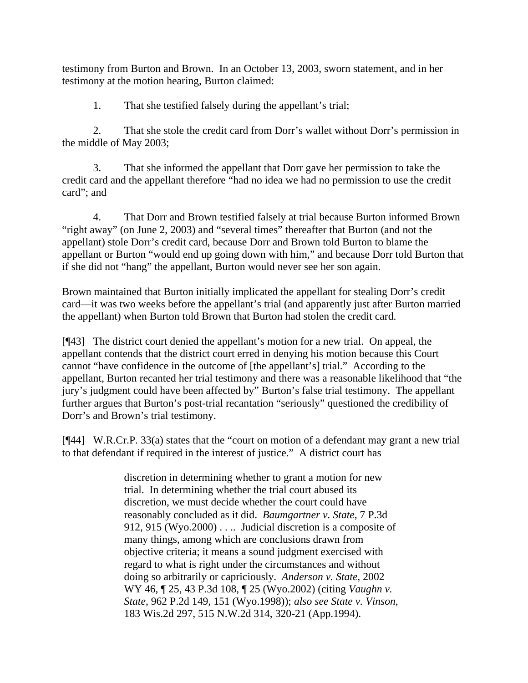testimony from Burton and Brown. In an October 13, 2003, sworn statement, and in her testimony at the motion hearing, Burton claimed:

1. That she testified falsely during the appellant's trial;

2. That she stole the credit card from Dorr's wallet without Dorr's permission in the middle of May 2003;

3. That she informed the appellant that Dorr gave her permission to take the credit card and the appellant therefore "had no idea we had no permission to use the credit card"; and

4. That Dorr and Brown testified falsely at trial because Burton informed Brown "right away" (on June 2, 2003) and "several times" thereafter that Burton (and not the appellant) stole Dorr's credit card, because Dorr and Brown told Burton to blame the appellant or Burton "would end up going down with him," and because Dorr told Burton that if she did not "hang" the appellant, Burton would never see her son again.

Brown maintained that Burton initially implicated the appellant for stealing Dorr's credit card—it was two weeks before the appellant's trial (and apparently just after Burton married the appellant) when Burton told Brown that Burton had stolen the credit card.

[¶43] The district court denied the appellant's motion for a new trial. On appeal, the appellant contends that the district court erred in denying his motion because this Court cannot "have confidence in the outcome of [the appellant's] trial." According to the appellant, Burton recanted her trial testimony and there was a reasonable likelihood that "the jury's judgment could have been affected by" Burton's false trial testimony. The appellant further argues that Burton's post-trial recantation "seriously" questioned the credibility of Dorr's and Brown's trial testimony.

[¶44] W.R.Cr.P. 33(a) states that the "court on motion of a defendant may grant a new trial to that defendant if required in the interest of justice." A district court has

> discretion in determining whether to grant a motion for new trial. In determining whether the trial court abused its discretion, we must decide whether the court could have reasonably concluded as it did. *Baumgartner v. State*, 7 P.3d 912, 915 (Wyo.2000) . . .. Judicial discretion is a composite of many things, among which are conclusions drawn from objective criteria; it means a sound judgment exercised with regard to what is right under the circumstances and without doing so arbitrarily or capriciously. *Anderson v. State*, 2002 WY 46, ¶ 25, 43 P.3d 108, ¶ 25 (Wyo.2002) (citing *Vaughn v. State*, 962 P.2d 149, 151 (Wyo.1998)); *also see State v. Vinson*, 183 Wis.2d 297, 515 N.W.2d 314, 320-21 (App.1994).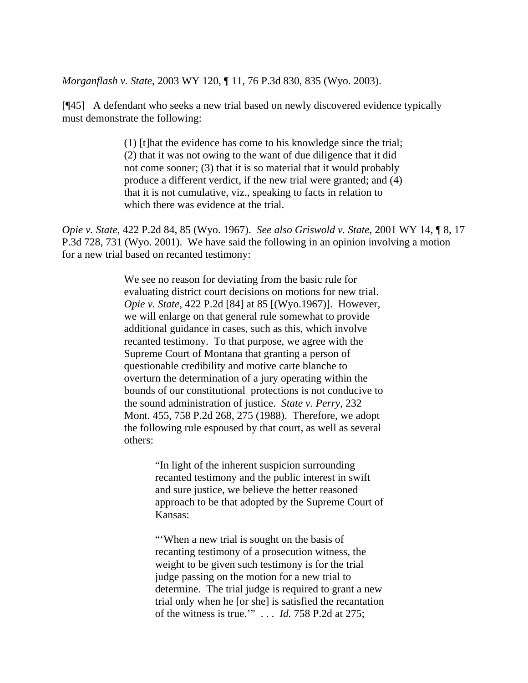*Morganflash v. State*, 2003 WY 120, ¶ 11, 76 P.3d 830, 835 (Wyo. 2003).

[¶45] A defendant who seeks a new trial based on newly discovered evidence typically must demonstrate the following:

> (1) [t]hat the evidence has come to his knowledge since the trial; (2) that it was not owing to the want of due diligence that it did not come sooner; (3) that it is so material that it would probably produce a different verdict, if the new trial were granted; and (4) that it is not cumulative, viz., speaking to facts in relation to which there was evidence at the trial.

*Opie v. State*, 422 P.2d 84, 85 (Wyo. 1967). *See also Griswold v. State*, 2001 WY 14, ¶ 8, 17 P.3d 728, 731 (Wyo. 2001). We have said the following in an opinion involving a motion for a new trial based on recanted testimony:

> We see no reason for deviating from the basic rule for evaluating district court decisions on motions for new trial. *Opie v. State*, 422 P.2d [84] at 85 [(Wyo.1967)]. However, we will enlarge on that general rule somewhat to provide additional guidance in cases, such as this, which involve recanted testimony. To that purpose, we agree with the Supreme Court of Montana that granting a person of questionable credibility and motive carte blanche to overturn the determination of a jury operating within the bounds of our constitutional protections is not conducive to the sound administration of justice. *State v. Perry*, 232 Mont. 455, 758 P.2d 268, 275 (1988). Therefore, we adopt the following rule espoused by that court, as well as several others:

> > "In light of the inherent suspicion surrounding recanted testimony and the public interest in swift and sure justice, we believe the better reasoned approach to be that adopted by the Supreme Court of Kansas:

> > "'When a new trial is sought on the basis of recanting testimony of a prosecution witness, the weight to be given such testimony is for the trial judge passing on the motion for a new trial to determine. The trial judge is required to grant a new trial only when he [or she] is satisfied the recantation of the witness is true.'" . . . *Id.* 758 P.2d at 275;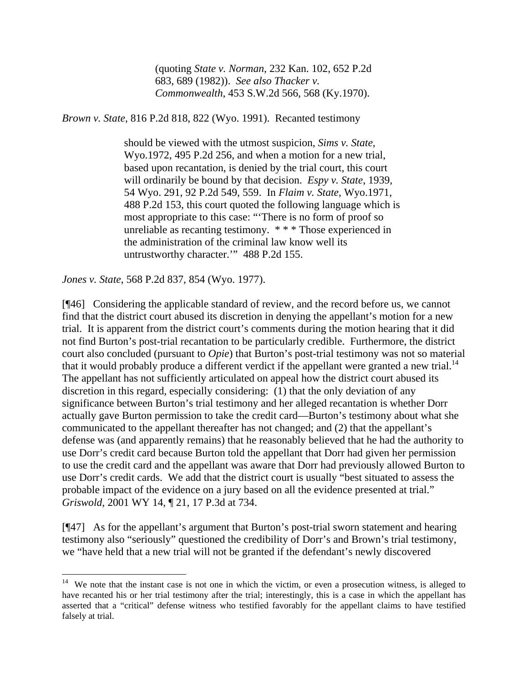(quoting *State v. Norman*, 232 Kan. 102, 652 P.2d 683, 689 (1982)). *See also Thacker v. Commonwealth*, 453 S.W.2d 566, 568 (Ky.1970).

*Brown v. State*, 816 P.2d 818, 822 (Wyo. 1991). Recanted testimony

should be viewed with the utmost suspicion, *Sims v. State*, Wyo.1972, 495 P.2d 256, and when a motion for a new trial, based upon recantation, is denied by the trial court, this court will ordinarily be bound by that decision. *Espy v. State*, 1939, 54 Wyo. 291, 92 P.2d 549, 559. In *Flaim v. State*, Wyo.1971, 488 P.2d 153, this court quoted the following language which is most appropriate to this case: "'There is no form of proof so unreliable as recanting testimony. \* \* \* Those experienced in the administration of the criminal law know well its untrustworthy character.'" 488 P.2d 155.

*Jones v. State*, 568 P.2d 837, 854 (Wyo. 1977).

 $\overline{a}$ 

[¶46] Considering the applicable standard of review, and the record before us, we cannot find that the district court abused its discretion in denying the appellant's motion for a new trial. It is apparent from the district court's comments during the motion hearing that it did not find Burton's post-trial recantation to be particularly credible. Furthermore, the district court also concluded (pursuant to *Opie*) that Burton's post-trial testimony was not so material that it would probably produce a different verdict if the appellant were granted a new trial.<sup>14</sup> The appellant has not sufficiently articulated on appeal how the district court abused its discretion in this regard, especially considering: (1) that the only deviation of any significance between Burton's trial testimony and her alleged recantation is whether Dorr actually gave Burton permission to take the credit card—Burton's testimony about what she communicated to the appellant thereafter has not changed; and (2) that the appellant's defense was (and apparently remains) that he reasonably believed that he had the authority to use Dorr's credit card because Burton told the appellant that Dorr had given her permission to use the credit card and the appellant was aware that Dorr had previously allowed Burton to use Dorr's credit cards. We add that the district court is usually "best situated to assess the probable impact of the evidence on a jury based on all the evidence presented at trial." *Griswold*, 2001 WY 14, ¶ 21, 17 P.3d at 734.

[¶47] As for the appellant's argument that Burton's post-trial sworn statement and hearing testimony also "seriously" questioned the credibility of Dorr's and Brown's trial testimony, we "have held that a new trial will not be granted if the defendant's newly discovered

<span id="page-22-0"></span> $14$  We note that the instant case is not one in which the victim, or even a prosecution witness, is alleged to have recanted his or her trial testimony after the trial; interestingly, this is a case in which the appellant has asserted that a "critical" defense witness who testified favorably for the appellant claims to have testified falsely at trial.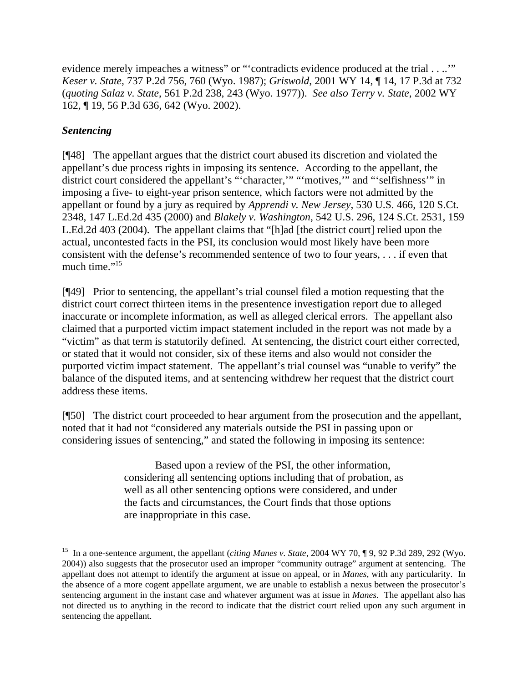evidence merely impeaches a witness" or "'contradicts evidence produced at the trial . . ..'" *Keser v. State*, 737 P.2d 756, 760 (Wyo. 1987); *Griswold*, 2001 WY 14, ¶ 14, 17 P.3d at 732 (*quoting Salaz v. State*, 561 P.2d 238, 243 (Wyo. 1977)). *See also Terry v. State*, 2002 WY 162, ¶ 19, 56 P.3d 636, 642 (Wyo. 2002).

# *Sentencing*

 $\overline{a}$ 

[¶48] The appellant argues that the district court abused its discretion and violated the appellant's due process rights in imposing its sentence. According to the appellant, the district court considered the appellant's "'character,'" "'motives,'" and "'selfishness'" in imposing a five- to eight-year prison sentence, which factors were not admitted by the appellant or found by a jury as required by *Apprendi v. New Jersey*, 530 U.S. 466, 120 S.Ct. 2348, 147 L.Ed.2d 435 (2000) and *Blakely v. Washington*, 542 U.S. 296, 124 S.Ct. 2531, 159 L.Ed.2d 403 (2004). The appellant claims that "[h]ad [the district court] relied upon the actual, uncontested facts in the PSI, its conclusion would most likely have been more consistent with the defense's recommended sentence of two to four years, . . . if even that much time." $^{15}$  $^{15}$  $^{15}$ 

[¶49] Prior to sentencing, the appellant's trial counsel filed a motion requesting that the district court correct thirteen items in the presentence investigation report due to alleged inaccurate or incomplete information, as well as alleged clerical errors. The appellant also claimed that a purported victim impact statement included in the report was not made by a "victim" as that term is statutorily defined. At sentencing, the district court either corrected, or stated that it would not consider, six of these items and also would not consider the purported victim impact statement. The appellant's trial counsel was "unable to verify" the balance of the disputed items, and at sentencing withdrew her request that the district court address these items.

[¶50] The district court proceeded to hear argument from the prosecution and the appellant, noted that it had not "considered any materials outside the PSI in passing upon or considering issues of sentencing," and stated the following in imposing its sentence:

> Based upon a review of the PSI, the other information, considering all sentencing options including that of probation, as well as all other sentencing options were considered, and under the facts and circumstances, the Court finds that those options are inappropriate in this case.

<span id="page-23-0"></span><sup>15</sup> In a one-sentence argument, the appellant (*citing Manes v. State*, 2004 WY 70, ¶ 9, 92 P.3d 289, 292 (Wyo. 2004)) also suggests that the prosecutor used an improper "community outrage" argument at sentencing. The appellant does not attempt to identify the argument at issue on appeal, or in *Manes*, with any particularity. In the absence of a more cogent appellate argument, we are unable to establish a nexus between the prosecutor's sentencing argument in the instant case and whatever argument was at issue in *Manes*. The appellant also has not directed us to anything in the record to indicate that the district court relied upon any such argument in sentencing the appellant.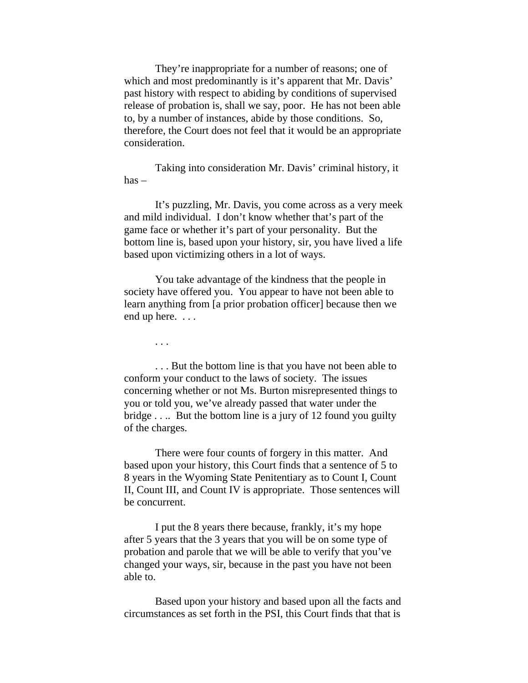They're inappropriate for a number of reasons; one of which and most predominantly is it's apparent that Mr. Davis' past history with respect to abiding by conditions of supervised release of probation is, shall we say, poor. He has not been able to, by a number of instances, abide by those conditions. So, therefore, the Court does not feel that it would be an appropriate consideration.

 Taking into consideration Mr. Davis' criminal history, it has –

 It's puzzling, Mr. Davis, you come across as a very meek and mild individual. I don't know whether that's part of the game face or whether it's part of your personality. But the bottom line is, based upon your history, sir, you have lived a life based upon victimizing others in a lot of ways.

 You take advantage of the kindness that the people in society have offered you. You appear to have not been able to learn anything from [a prior probation officer] because then we end up here. . . .

. . .

 . . . But the bottom line is that you have not been able to conform your conduct to the laws of society. The issues concerning whether or not Ms. Burton misrepresented things to you or told you, we've already passed that water under the bridge . . .. But the bottom line is a jury of 12 found you guilty of the charges.

 There were four counts of forgery in this matter. And based upon your history, this Court finds that a sentence of 5 to 8 years in the Wyoming State Penitentiary as to Count I, Count II, Count III, and Count IV is appropriate. Those sentences will be concurrent.

 I put the 8 years there because, frankly, it's my hope after 5 years that the 3 years that you will be on some type of probation and parole that we will be able to verify that you've changed your ways, sir, because in the past you have not been able to.

 Based upon your history and based upon all the facts and circumstances as set forth in the PSI, this Court finds that that is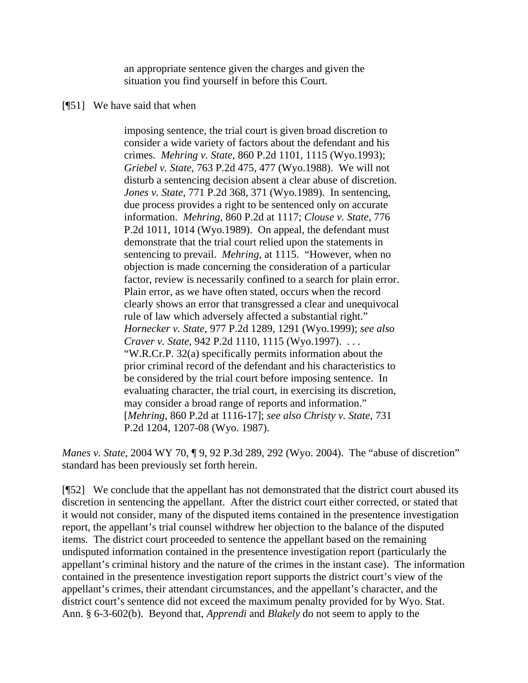an appropriate sentence given the charges and given the situation you find yourself in before this Court.

#### [¶51] We have said that when

imposing sentence, the trial court is given broad discretion to consider a wide variety of factors about the defendant and his crimes. *Mehring v. State*, 860 P.2d 1101, 1115 (Wyo.1993); *Griebel v. State*, 763 P.2d 475, 477 (Wyo.1988). We will not disturb a sentencing decision absent a clear abuse of discretion. *Jones v. State*, 771 P.2d 368, 371 (Wyo.1989). In sentencing, due process provides a right to be sentenced only on accurate information. *Mehring*, 860 P.2d at 1117; *Clouse v. State*, 776 P.2d 1011, 1014 (Wyo.1989). On appeal, the defendant must demonstrate that the trial court relied upon the statements in sentencing to prevail. *Mehring*, at 1115. "However, when no objection is made concerning the consideration of a particular factor, review is necessarily confined to a search for plain error. Plain error, as we have often stated, occurs when the record clearly shows an error that transgressed a clear and unequivocal rule of law which adversely affected a substantial right." *Hornecker v. State*, 977 P.2d 1289, 1291 (Wyo.1999); *see also Craver v. State*, 942 P.2d 1110, 1115 (Wyo.1997). . . . "W.R.Cr.P. 32(a) specifically permits information about the prior criminal record of the defendant and his characteristics to be considered by the trial court before imposing sentence. In evaluating character, the trial court, in exercising its discretion, may consider a broad range of reports and information." [*Mehring*, 860 P.2d at 1116-17]; *see also Christy v. State*, 731 P.2d 1204, 1207-08 (Wyo. 1987).

*Manes v. State*, 2004 WY 70, ¶ 9, 92 P.3d 289, 292 (Wyo. 2004). The "abuse of discretion" standard has been previously set forth herein.

[¶52] We conclude that the appellant has not demonstrated that the district court abused its discretion in sentencing the appellant. After the district court either corrected, or stated that it would not consider, many of the disputed items contained in the presentence investigation report, the appellant's trial counsel withdrew her objection to the balance of the disputed items. The district court proceeded to sentence the appellant based on the remaining undisputed information contained in the presentence investigation report (particularly the appellant's criminal history and the nature of the crimes in the instant case). The information contained in the presentence investigation report supports the district court's view of the appellant's crimes, their attendant circumstances, and the appellant's character, and the district court's sentence did not exceed the maximum penalty provided for by Wyo. Stat. Ann. § 6-3-602(b). Beyond that, *Apprendi* and *Blakely* do not seem to apply to the